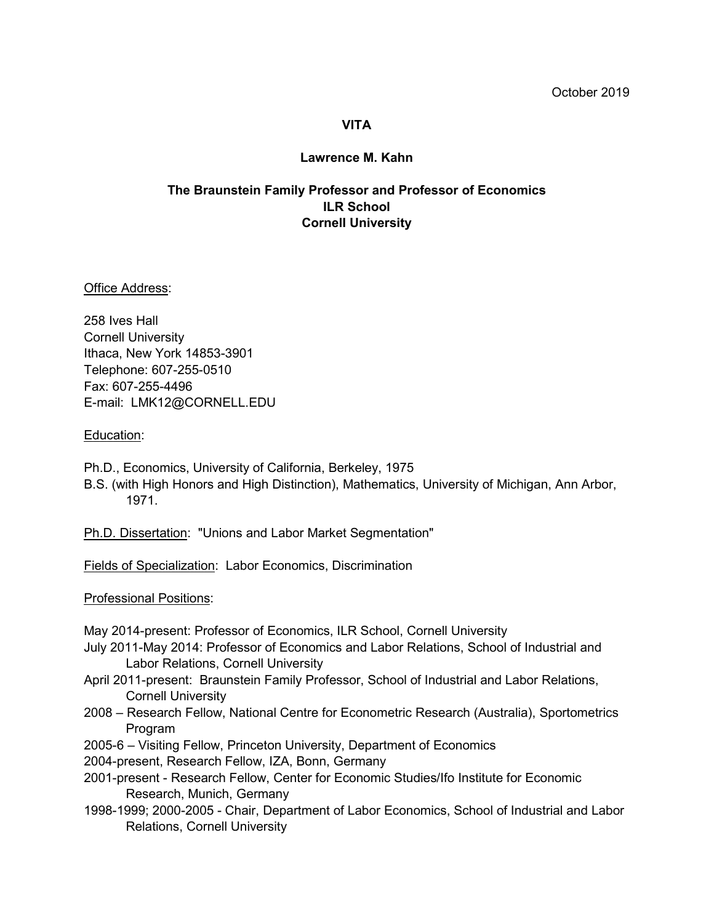# **VITA**

### **Lawrence M. Kahn**

# **The Braunstein Family Professor and Professor of Economics ILR School Cornell University**

Office Address:

258 Ives Hall Cornell University Ithaca, New York 14853-3901 Telephone: 607-255-0510 Fax: 607-255-4496 E-mail: LMK12@CORNELL.EDU

#### Education:

Ph.D., Economics, University of California, Berkeley, 1975

B.S. (with High Honors and High Distinction), Mathematics, University of Michigan, Ann Arbor, 1971.

Ph.D. Dissertation: "Unions and Labor Market Segmentation"

Fields of Specialization: Labor Economics, Discrimination

Professional Positions:

May 2014-present: Professor of Economics, ILR School, Cornell University

- July 2011-May 2014: Professor of Economics and Labor Relations, School of Industrial and Labor Relations, Cornell University
- April 2011-present: Braunstein Family Professor, School of Industrial and Labor Relations, Cornell University
- 2008 Research Fellow, National Centre for Econometric Research (Australia), Sportometrics Program

2005-6 – Visiting Fellow, Princeton University, Department of Economics

2004-present, Research Fellow, IZA, Bonn, Germany

- 2001-present Research Fellow, Center for Economic Studies/Ifo Institute for Economic Research, Munich, Germany
- 1998-1999; 2000-2005 Chair, Department of Labor Economics, School of Industrial and Labor Relations, Cornell University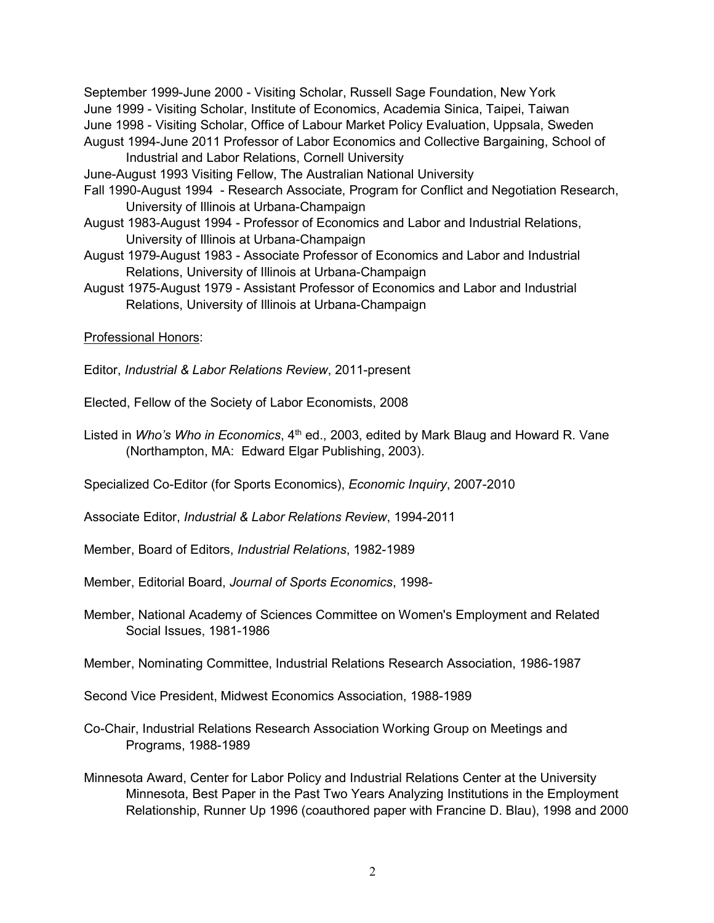September 1999-June 2000 - Visiting Scholar, Russell Sage Foundation, New York June 1999 - Visiting Scholar, Institute of Economics, Academia Sinica, Taipei, Taiwan June 1998 - Visiting Scholar, Office of Labour Market Policy Evaluation, Uppsala, Sweden August 1994-June 2011 Professor of Labor Economics and Collective Bargaining, School of Industrial and Labor Relations, Cornell University

June-August 1993 Visiting Fellow, The Australian National University

- Fall 1990-August 1994 Research Associate, Program for Conflict and Negotiation Research, University of Illinois at Urbana-Champaign
- August 1983-August 1994 Professor of Economics and Labor and Industrial Relations, University of Illinois at Urbana-Champaign
- August 1979-August 1983 Associate Professor of Economics and Labor and Industrial Relations, University of Illinois at Urbana-Champaign
- August 1975-August 1979 Assistant Professor of Economics and Labor and Industrial Relations, University of Illinois at Urbana-Champaign

Professional Honors:

Editor, *Industrial & Labor Relations Review*, 2011-present

Elected, Fellow of the Society of Labor Economists, 2008

Listed in *Who's Who in Economics*, 4<sup>th</sup> ed., 2003, edited by Mark Blaug and Howard R. Vane (Northampton, MA: Edward Elgar Publishing, 2003).

Specialized Co-Editor (for Sports Economics), *Economic Inquiry*, 2007-2010

Associate Editor, *Industrial & Labor Relations Review*, 1994-2011

Member, Board of Editors, *Industrial Relations*, 1982-1989

Member, Editorial Board, *Journal of Sports Economics*, 1998-

Member, National Academy of Sciences Committee on Women's Employment and Related Social Issues, 1981-1986

Member, Nominating Committee, Industrial Relations Research Association, 1986-1987

Second Vice President, Midwest Economics Association, 1988-1989

- Co-Chair, Industrial Relations Research Association Working Group on Meetings and Programs, 1988-1989
- Minnesota Award, Center for Labor Policy and Industrial Relations Center at the University Minnesota, Best Paper in the Past Two Years Analyzing Institutions in the Employment Relationship, Runner Up 1996 (coauthored paper with Francine D. Blau), 1998 and 2000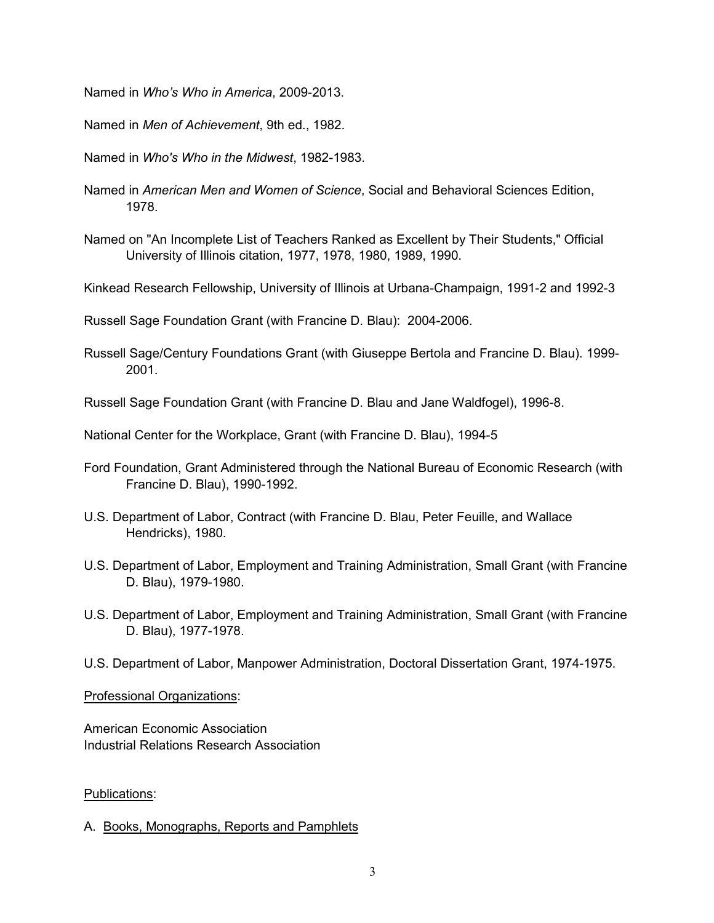Named in *Who's Who in America*, 2009-2013.

Named in *Men of Achievement*, 9th ed., 1982.

Named in *Who's Who in the Midwest*, 1982-1983.

- Named in *American Men and Women of Science*, Social and Behavioral Sciences Edition, 1978.
- Named on "An Incomplete List of Teachers Ranked as Excellent by Their Students," Official University of Illinois citation, 1977, 1978, 1980, 1989, 1990.

Kinkead Research Fellowship, University of Illinois at Urbana-Champaign, 1991-2 and 1992-3

Russell Sage Foundation Grant (with Francine D. Blau): 2004-2006.

Russell Sage/Century Foundations Grant (with Giuseppe Bertola and Francine D. Blau). 1999- 2001.

Russell Sage Foundation Grant (with Francine D. Blau and Jane Waldfogel), 1996-8.

National Center for the Workplace, Grant (with Francine D. Blau), 1994-5

- Ford Foundation, Grant Administered through the National Bureau of Economic Research (with Francine D. Blau), 1990-1992.
- U.S. Department of Labor, Contract (with Francine D. Blau, Peter Feuille, and Wallace Hendricks), 1980.
- U.S. Department of Labor, Employment and Training Administration, Small Grant (with Francine D. Blau), 1979-1980.
- U.S. Department of Labor, Employment and Training Administration, Small Grant (with Francine D. Blau), 1977-1978.
- U.S. Department of Labor, Manpower Administration, Doctoral Dissertation Grant, 1974-1975.

#### Professional Organizations:

American Economic Association Industrial Relations Research Association

## Publications:

A. Books, Monographs, Reports and Pamphlets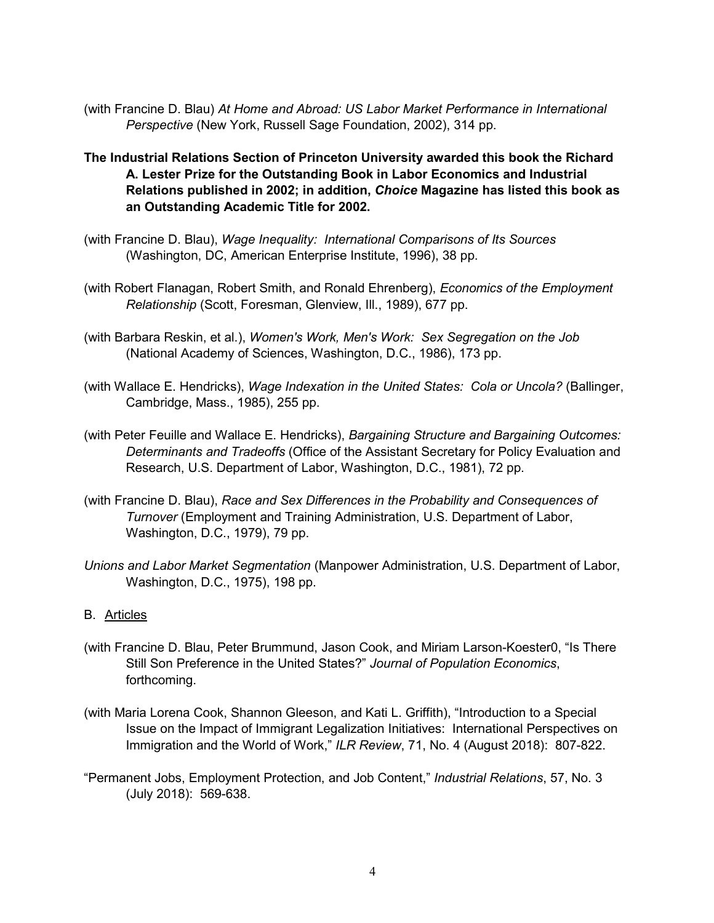- (with Francine D. Blau) *At Home and Abroad: US Labor Market Performance in International Perspective* (New York, Russell Sage Foundation, 2002), 314 pp.
- **The Industrial Relations Section of Princeton University awarded this book the Richard A. Lester Prize for the Outstanding Book in Labor Economics and Industrial Relations published in 2002; in addition,** *Choice* **Magazine has listed this book as an Outstanding Academic Title for 2002.**
- (with Francine D. Blau), *Wage Inequality: International Comparisons of Its Sources* (Washington, DC, American Enterprise Institute, 1996), 38 pp.
- (with Robert Flanagan, Robert Smith, and Ronald Ehrenberg), *Economics of the Employment Relationship* (Scott, Foresman, Glenview, Ill., 1989), 677 pp.
- (with Barbara Reskin, et al.), *Women's Work, Men's Work: Sex Segregation on the Job* (National Academy of Sciences, Washington, D.C., 1986), 173 pp.
- (with Wallace E. Hendricks), *Wage Indexation in the United States: Cola or Uncola?* (Ballinger, Cambridge, Mass., 1985), 255 pp.
- (with Peter Feuille and Wallace E. Hendricks), *Bargaining Structure and Bargaining Outcomes: Determinants and Tradeoffs* (Office of the Assistant Secretary for Policy Evaluation and Research, U.S. Department of Labor, Washington, D.C., 1981), 72 pp.
- (with Francine D. Blau), *Race and Sex Differences in the Probability and Consequences of Turnover* (Employment and Training Administration, U.S. Department of Labor, Washington, D.C., 1979), 79 pp.
- *Unions and Labor Market Segmentation* (Manpower Administration, U.S. Department of Labor, Washington, D.C., 1975), 198 pp.

## B. Articles

- (with Francine D. Blau, Peter Brummund, Jason Cook, and Miriam Larson-Koester0, "Is There Still Son Preference in the United States?" *Journal of Population Economics*, forthcoming.
- (with Maria Lorena Cook, Shannon Gleeson, and Kati L. Griffith), "Introduction to a Special Issue on the Impact of Immigrant Legalization Initiatives: International Perspectives on Immigration and the World of Work," *ILR Review*, 71, No. 4 (August 2018): 807-822.
- "Permanent Jobs, Employment Protection, and Job Content," *Industrial Relations*, 57, No. 3 (July 2018): 569-638.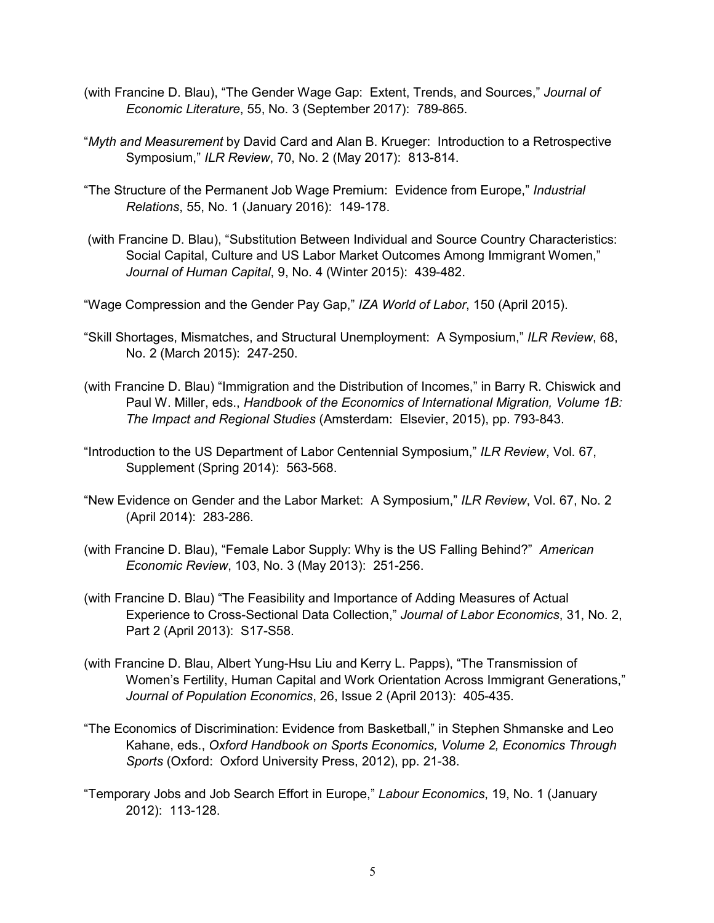- (with Francine D. Blau), "The Gender Wage Gap: Extent, Trends, and Sources," *Journal of Economic Literature*, 55, No. 3 (September 2017): 789-865.
- "*Myth and Measurement* by David Card and Alan B. Krueger: Introduction to a Retrospective Symposium," *ILR Review*, 70, No. 2 (May 2017): 813-814.
- "The Structure of the Permanent Job Wage Premium: Evidence from Europe," *Industrial Relations*, 55, No. 1 (January 2016): 149-178.
- (with Francine D. Blau), "Substitution Between Individual and Source Country Characteristics: Social Capital, Culture and US Labor Market Outcomes Among Immigrant Women," *Journal of Human Capital*, 9, No. 4 (Winter 2015): 439-482.
- "Wage Compression and the Gender Pay Gap," *IZA World of Labor*, 150 (April 2015).
- "Skill Shortages, Mismatches, and Structural Unemployment: A Symposium," *ILR Review*, 68, No. 2 (March 2015): 247-250.
- (with Francine D. Blau) "Immigration and the Distribution of Incomes," in Barry R. Chiswick and Paul W. Miller, eds., *Handbook of the Economics of International Migration, Volume 1B: The Impact and Regional Studies* (Amsterdam: Elsevier, 2015), pp. 793-843.
- "Introduction to the US Department of Labor Centennial Symposium," *ILR Review*, Vol. 67, Supplement (Spring 2014): 563-568.
- "New Evidence on Gender and the Labor Market: A Symposium," *ILR Review*, Vol. 67, No. 2 (April 2014): 283-286.
- (with Francine D. Blau), "Female Labor Supply: Why is the US Falling Behind?" *American Economic Review*, 103, No. 3 (May 2013): 251-256.
- (with Francine D. Blau) "The Feasibility and Importance of Adding Measures of Actual Experience to Cross-Sectional Data Collection," *Journal of Labor Economics*, 31, No. 2, Part 2 (April 2013): S17-S58.
- (with Francine D. Blau, Albert Yung-Hsu Liu and Kerry L. Papps), "The Transmission of Women's Fertility, Human Capital and Work Orientation Across Immigrant Generations," *Journal of Population Economics*, 26, Issue 2 (April 2013): 405-435.
- "The Economics of Discrimination: Evidence from Basketball," in Stephen Shmanske and Leo Kahane, eds., *Oxford Handbook on Sports Economics, Volume 2, Economics Through Sports* (Oxford: Oxford University Press, 2012), pp. 21-38.
- "Temporary Jobs and Job Search Effort in Europe," *Labour Economics*, 19, No. 1 (January 2012): 113-128.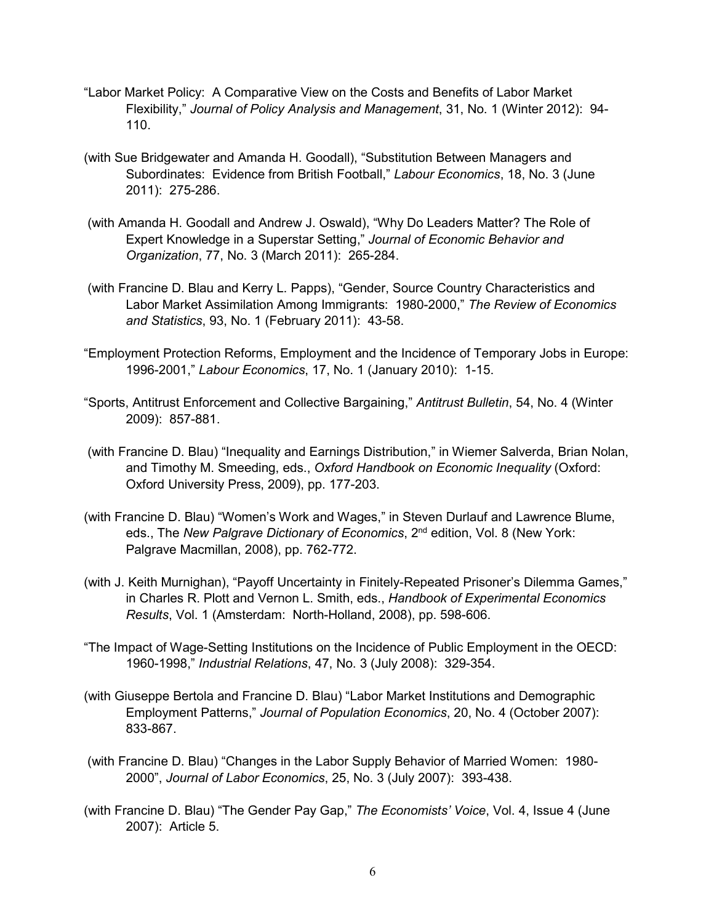- "Labor Market Policy: A Comparative View on the Costs and Benefits of Labor Market Flexibility," *Journal of Policy Analysis and Management*, 31, No. 1 (Winter 2012): 94- 110.
- (with Sue Bridgewater and Amanda H. Goodall), "Substitution Between Managers and Subordinates: Evidence from British Football," *Labour Economics*, 18, No. 3 (June 2011): 275-286.
- (with Amanda H. Goodall and Andrew J. Oswald), "Why Do Leaders Matter? The Role of Expert Knowledge in a Superstar Setting," *Journal of Economic Behavior and Organization*, 77, No. 3 (March 2011): 265-284.
- (with Francine D. Blau and Kerry L. Papps), "Gender, Source Country Characteristics and Labor Market Assimilation Among Immigrants: 1980-2000," *The Review of Economics and Statistics*, 93, No. 1 (February 2011): 43-58.
- "Employment Protection Reforms, Employment and the Incidence of Temporary Jobs in Europe: 1996-2001," *Labour Economics*, 17, No. 1 (January 2010): 1-15.
- "Sports, Antitrust Enforcement and Collective Bargaining," *Antitrust Bulletin*, 54, No. 4 (Winter 2009): 857-881.
- (with Francine D. Blau) "Inequality and Earnings Distribution," in Wiemer Salverda, Brian Nolan, and Timothy M. Smeeding, eds., *Oxford Handbook on Economic Inequality* (Oxford: Oxford University Press, 2009), pp. 177-203.
- (with Francine D. Blau) "Women's Work and Wages," in Steven Durlauf and Lawrence Blume, eds., The *New Palgrave Dictionary of Economics*, 2nd edition, Vol. 8 (New York: Palgrave Macmillan, 2008), pp. 762-772.
- (with J. Keith Murnighan), "Payoff Uncertainty in Finitely-Repeated Prisoner's Dilemma Games," in Charles R. Plott and Vernon L. Smith, eds., *Handbook of Experimental Economics Results*, Vol. 1 (Amsterdam: North-Holland, 2008), pp. 598-606.
- "The Impact of Wage-Setting Institutions on the Incidence of Public Employment in the OECD: 1960-1998," *Industrial Relations*, 47, No. 3 (July 2008): 329-354.
- (with Giuseppe Bertola and Francine D. Blau) "Labor Market Institutions and Demographic Employment Patterns," *Journal of Population Economics*, 20, No. 4 (October 2007): 833-867.
- (with Francine D. Blau) "Changes in the Labor Supply Behavior of Married Women: 1980- 2000", *Journal of Labor Economics*, 25, No. 3 (July 2007): 393-438.
- (with Francine D. Blau) "The Gender Pay Gap," *The Economists' Voice*, Vol. 4, Issue 4 (June 2007): Article 5.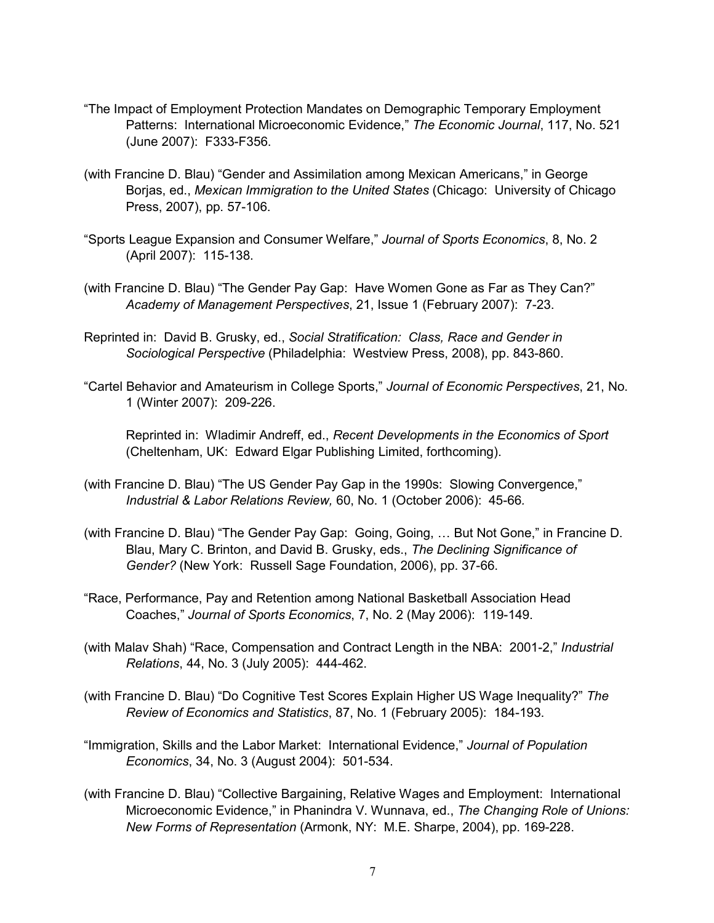- "The Impact of Employment Protection Mandates on Demographic Temporary Employment Patterns: International Microeconomic Evidence," *The Economic Journal*, 117, No. 521 (June 2007): F333-F356.
- (with Francine D. Blau) "Gender and Assimilation among Mexican Americans," in George Borjas, ed., *Mexican Immigration to the United States* (Chicago: University of Chicago Press, 2007), pp. 57-106.
- "Sports League Expansion and Consumer Welfare," *Journal of Sports Economics*, 8, No. 2 (April 2007): 115-138.
- (with Francine D. Blau) "The Gender Pay Gap: Have Women Gone as Far as They Can?" *Academy of Management Perspectives*, 21, Issue 1 (February 2007): 7-23.
- Reprinted in: David B. Grusky, ed., *Social Stratification: Class, Race and Gender in Sociological Perspective* (Philadelphia: Westview Press, 2008), pp. 843-860.
- "Cartel Behavior and Amateurism in College Sports," *Journal of Economic Perspectives*, 21, No. 1 (Winter 2007): 209-226.

Reprinted in: Wladimir Andreff, ed., *Recent Developments in the Economics of Sport* (Cheltenham, UK: Edward Elgar Publishing Limited, forthcoming).

- (with Francine D. Blau) "The US Gender Pay Gap in the 1990s: Slowing Convergence," *Industrial & Labor Relations Review,* 60, No. 1 (October 2006): 45-66*.*
- (with Francine D. Blau) "The Gender Pay Gap: Going, Going, … But Not Gone," in Francine D. Blau, Mary C. Brinton, and David B. Grusky, eds., *The Declining Significance of Gender?* (New York: Russell Sage Foundation, 2006), pp. 37-66.
- "Race, Performance, Pay and Retention among National Basketball Association Head Coaches," *Journal of Sports Economics*, 7, No. 2 (May 2006): 119-149.
- (with Malav Shah) "Race, Compensation and Contract Length in the NBA: 2001-2," *Industrial Relations*, 44, No. 3 (July 2005): 444-462.
- (with Francine D. Blau) "Do Cognitive Test Scores Explain Higher US Wage Inequality?" *The Review of Economics and Statistics*, 87, No. 1 (February 2005): 184-193.
- "Immigration, Skills and the Labor Market: International Evidence," *Journal of Population Economics*, 34, No. 3 (August 2004): 501-534.
- (with Francine D. Blau) "Collective Bargaining, Relative Wages and Employment: International Microeconomic Evidence," in Phanindra V. Wunnava, ed., *The Changing Role of Unions: New Forms of Representation* (Armonk, NY: M.E. Sharpe, 2004), pp. 169-228.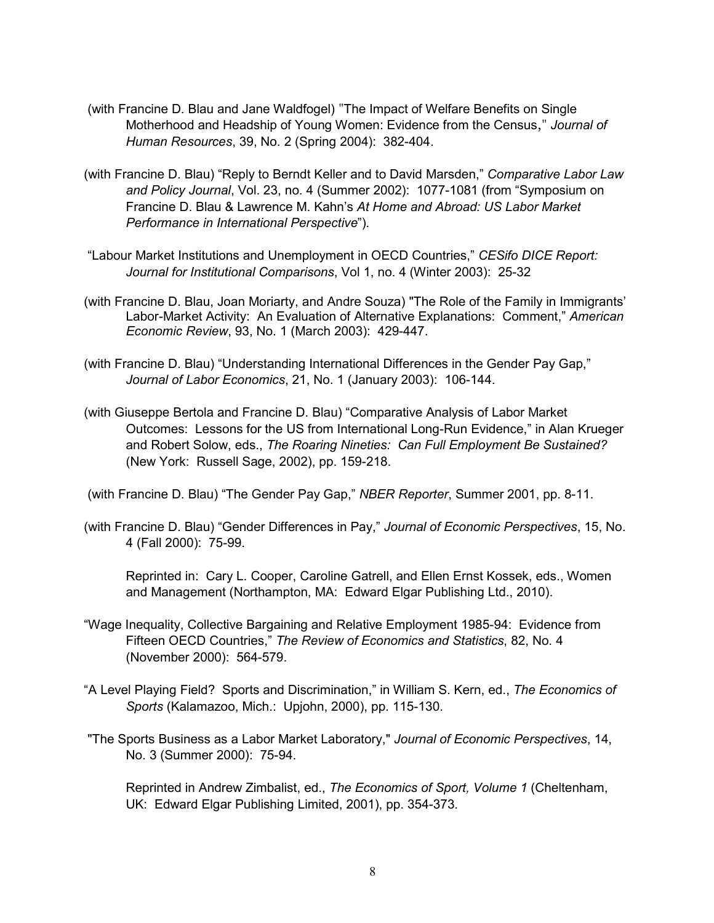- (with Francine D. Blau and Jane Waldfogel) "The Impact of Welfare Benefits on Single Motherhood and Headship of Young Women: Evidence from the Census," *Journal of Human Resources*, 39, No. 2 (Spring 2004): 382-404.
- (with Francine D. Blau) "Reply to Berndt Keller and to David Marsden," *Comparative Labor Law and Policy Journal*, Vol. 23, no. 4 (Summer 2002): 1077-1081 (from "Symposium on Francine D. Blau & Lawrence M. Kahn's *At Home and Abroad: US Labor Market Performance in International Perspective*")*.*
- "Labour Market Institutions and Unemployment in OECD Countries," *CESifo DICE Report: Journal for Institutional Comparisons*, Vol 1, no. 4 (Winter 2003): 25-32
- (with Francine D. Blau, Joan Moriarty, and Andre Souza) "The Role of the Family in Immigrants' Labor-Market Activity: An Evaluation of Alternative Explanations: Comment," *American Economic Review*, 93, No. 1 (March 2003): 429-447.
- (with Francine D. Blau) "Understanding International Differences in the Gender Pay Gap," *Journal of Labor Economics*, 21, No. 1 (January 2003): 106-144.
- (with Giuseppe Bertola and Francine D. Blau) "Comparative Analysis of Labor Market Outcomes: Lessons for the US from International Long-Run Evidence," in Alan Krueger and Robert Solow, eds., *The Roaring Nineties: Can Full Employment Be Sustained?* (New York: Russell Sage, 2002), pp. 159-218.

(with Francine D. Blau) "The Gender Pay Gap," *NBER Reporter*, Summer 2001, pp. 8-11.

(with Francine D. Blau) "Gender Differences in Pay," *Journal of Economic Perspectives*, 15, No. 4 (Fall 2000): 75-99.

Reprinted in: Cary L. Cooper, Caroline Gatrell, and Ellen Ernst Kossek, eds., Women and Management (Northampton, MA: Edward Elgar Publishing Ltd., 2010).

- "Wage Inequality, Collective Bargaining and Relative Employment 1985-94: Evidence from Fifteen OECD Countries," *The Review of Economics and Statistics*, 82, No. 4 (November 2000): 564-579.
- "A Level Playing Field? Sports and Discrimination," in William S. Kern, ed., *The Economics of Sports* (Kalamazoo, Mich.: Upjohn, 2000), pp. 115-130.
- "The Sports Business as a Labor Market Laboratory," *Journal of Economic Perspectives*, 14, No. 3 (Summer 2000): 75-94.

Reprinted in Andrew Zimbalist, ed., *The Economics of Sport, Volume 1* (Cheltenham, UK: Edward Elgar Publishing Limited, 2001), pp. 354-373.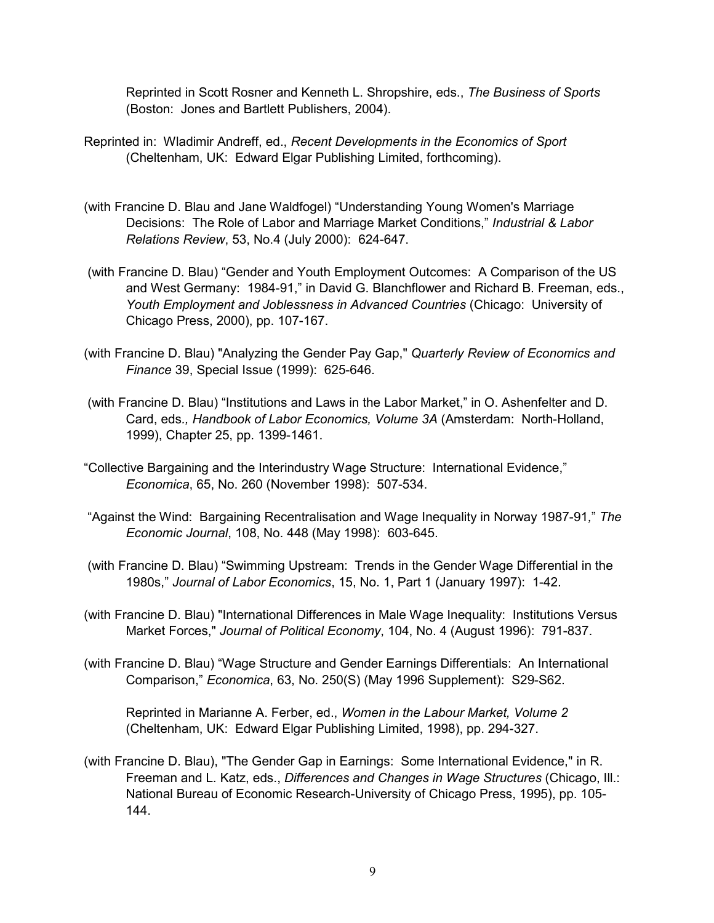Reprinted in Scott Rosner and Kenneth L. Shropshire, eds., *The Business of Sports*  (Boston: Jones and Bartlett Publishers, 2004).

- Reprinted in: Wladimir Andreff, ed., *Recent Developments in the Economics of Sport* (Cheltenham, UK: Edward Elgar Publishing Limited, forthcoming).
- (with Francine D. Blau and Jane Waldfogel) "Understanding Young Women's Marriage Decisions: The Role of Labor and Marriage Market Conditions," *Industrial & Labor Relations Review*, 53, No.4 (July 2000): 624-647.
- (with Francine D. Blau) "Gender and Youth Employment Outcomes: A Comparison of the US and West Germany: 1984-91," in David G. Blanchflower and Richard B. Freeman, eds., *Youth Employment and Joblessness in Advanced Countries* (Chicago: University of Chicago Press, 2000), pp. 107-167.
- (with Francine D. Blau) "Analyzing the Gender Pay Gap," *Quarterly Review of Economics and Finance* 39, Special Issue (1999): 625-646.
- (with Francine D. Blau) "Institutions and Laws in the Labor Market," in O. Ashenfelter and D. Card, eds*., Handbook of Labor Economics, Volume 3A* (Amsterdam: North-Holland, 1999), Chapter 25, pp. 1399-1461.
- "Collective Bargaining and the Interindustry Wage Structure: International Evidence," *Economica*, 65, No. 260 (November 1998): 507-534.
- "Against the Wind: Bargaining Recentralisation and Wage Inequality in Norway 1987-91*,*" *The Economic Journal*, 108, No. 448 (May 1998): 603-645.
- (with Francine D. Blau) "Swimming Upstream: Trends in the Gender Wage Differential in the 1980s," *Journal of Labor Economics*, 15, No. 1, Part 1 (January 1997): 1-42.
- (with Francine D. Blau) "International Differences in Male Wage Inequality: Institutions Versus Market Forces," *Journal of Political Economy*, 104, No. 4 (August 1996): 791-837.
- (with Francine D. Blau) "Wage Structure and Gender Earnings Differentials: An International Comparison," *Economica*, 63, No. 250(S) (May 1996 Supplement): S29-S62.

Reprinted in Marianne A. Ferber, ed., *Women in the Labour Market, Volume 2* (Cheltenham, UK: Edward Elgar Publishing Limited, 1998), pp. 294-327.

(with Francine D. Blau), "The Gender Gap in Earnings: Some International Evidence," in R. Freeman and L. Katz, eds., *Differences and Changes in Wage Structures* (Chicago, Ill.: National Bureau of Economic Research-University of Chicago Press, 1995), pp. 105- 144.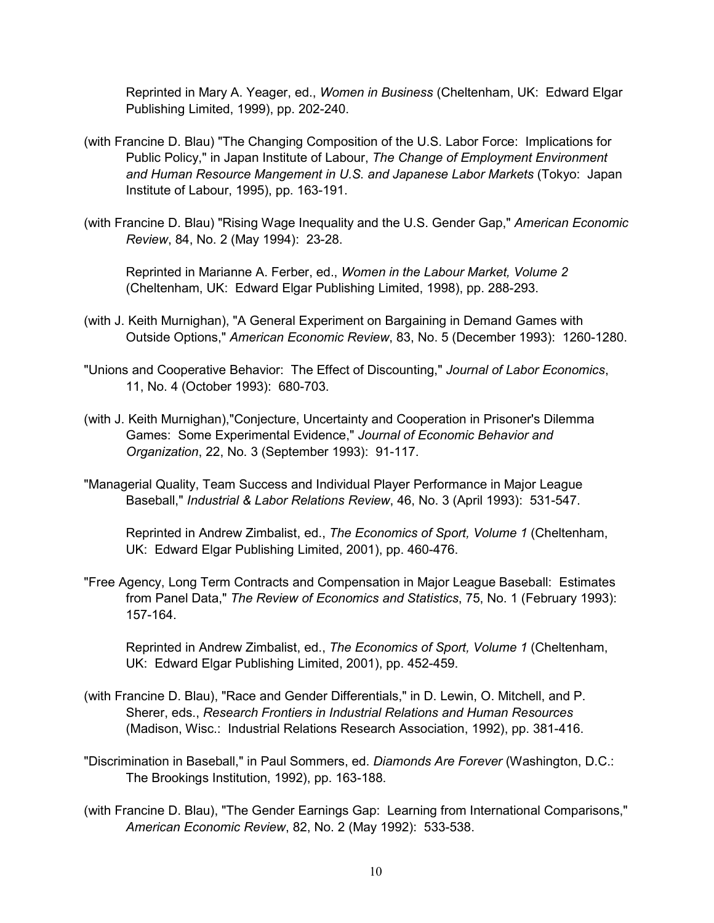Reprinted in Mary A. Yeager, ed., *Women in Business* (Cheltenham, UK: Edward Elgar Publishing Limited, 1999), pp. 202-240.

- (with Francine D. Blau) "The Changing Composition of the U.S. Labor Force: Implications for Public Policy," in Japan Institute of Labour, *The Change of Employment Environment and Human Resource Mangement in U.S. and Japanese Labor Markets* (Tokyo: Japan Institute of Labour, 1995), pp. 163-191.
- (with Francine D. Blau) "Rising Wage Inequality and the U.S. Gender Gap," *American Economic Review*, 84, No. 2 (May 1994): 23-28.

Reprinted in Marianne A. Ferber, ed., *Women in the Labour Market, Volume 2* (Cheltenham, UK: Edward Elgar Publishing Limited, 1998), pp. 288-293.

- (with J. Keith Murnighan), "A General Experiment on Bargaining in Demand Games with Outside Options," *American Economic Review*, 83, No. 5 (December 1993): 1260-1280.
- "Unions and Cooperative Behavior: The Effect of Discounting," *Journal of Labor Economics*, 11, No. 4 (October 1993): 680-703.
- (with J. Keith Murnighan),"Conjecture, Uncertainty and Cooperation in Prisoner's Dilemma Games: Some Experimental Evidence," *Journal of Economic Behavior and Organization*, 22, No. 3 (September 1993): 91-117.
- "Managerial Quality, Team Success and Individual Player Performance in Major League Baseball," *Industrial & Labor Relations Review*, 46, No. 3 (April 1993): 531-547.

Reprinted in Andrew Zimbalist, ed., *The Economics of Sport, Volume 1* (Cheltenham, UK: Edward Elgar Publishing Limited, 2001), pp. 460-476.

"Free Agency, Long Term Contracts and Compensation in Major League Baseball: Estimates from Panel Data," *The Review of Economics and Statistics*, 75, No. 1 (February 1993): 157-164.

Reprinted in Andrew Zimbalist, ed., *The Economics of Sport, Volume 1* (Cheltenham, UK: Edward Elgar Publishing Limited, 2001), pp. 452-459.

- (with Francine D. Blau), "Race and Gender Differentials," in D. Lewin, O. Mitchell, and P. Sherer, eds., *Research Frontiers in Industrial Relations and Human Resources* (Madison, Wisc.: Industrial Relations Research Association, 1992), pp. 381-416.
- "Discrimination in Baseball," in Paul Sommers, ed. *Diamonds Are Forever* (Washington, D.C.: The Brookings Institution, 1992), pp. 163-188.
- (with Francine D. Blau), "The Gender Earnings Gap: Learning from International Comparisons," *American Economic Review*, 82, No. 2 (May 1992): 533-538.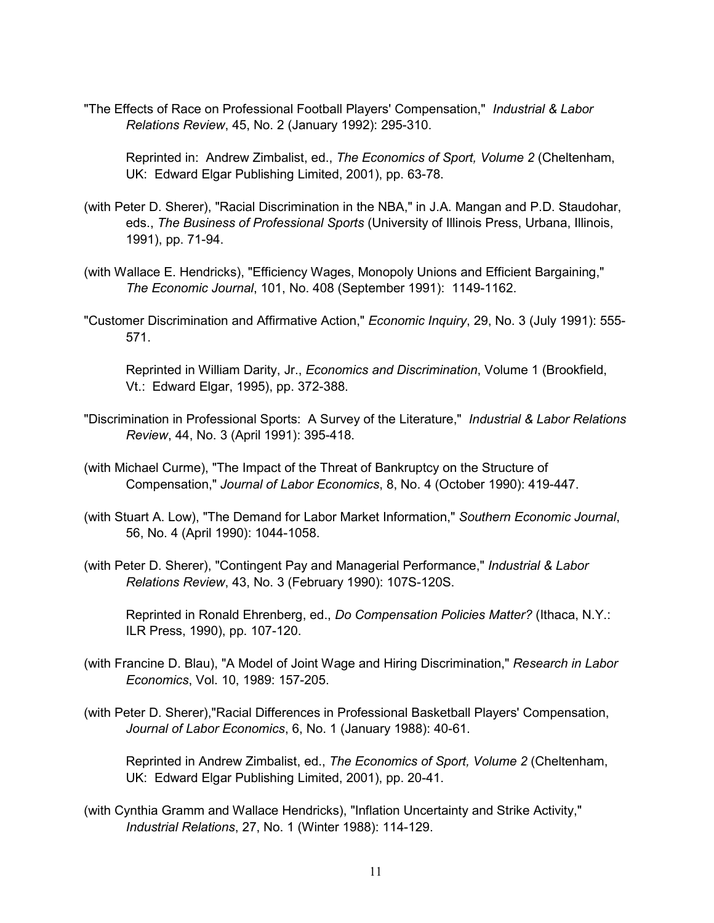"The Effects of Race on Professional Football Players' Compensation," *Industrial & Labor Relations Review*, 45, No. 2 (January 1992): 295-310.

Reprinted in: Andrew Zimbalist, ed., *The Economics of Sport, Volume 2* (Cheltenham, UK: Edward Elgar Publishing Limited, 2001), pp. 63-78.

- (with Peter D. Sherer), "Racial Discrimination in the NBA," in J.A. Mangan and P.D. Staudohar, eds., *The Business of Professional Sports* (University of Illinois Press, Urbana, Illinois, 1991), pp. 71-94.
- (with Wallace E. Hendricks), "Efficiency Wages, Monopoly Unions and Efficient Bargaining," *The Economic Journal*, 101, No. 408 (September 1991): 1149-1162.
- "Customer Discrimination and Affirmative Action," *Economic Inquiry*, 29, No. 3 (July 1991): 555- 571.

Reprinted in William Darity, Jr., *Economics and Discrimination*, Volume 1 (Brookfield, Vt.: Edward Elgar, 1995), pp. 372-388.

- "Discrimination in Professional Sports: A Survey of the Literature," *Industrial & Labor Relations Review*, 44, No. 3 (April 1991): 395-418.
- (with Michael Curme), "The Impact of the Threat of Bankruptcy on the Structure of Compensation," *Journal of Labor Economics*, 8, No. 4 (October 1990): 419-447.
- (with Stuart A. Low), "The Demand for Labor Market Information," *Southern Economic Journal*, 56, No. 4 (April 1990): 1044-1058.
- (with Peter D. Sherer), "Contingent Pay and Managerial Performance," *Industrial & Labor Relations Review*, 43, No. 3 (February 1990): 107S-120S.

Reprinted in Ronald Ehrenberg, ed., *Do Compensation Policies Matter?* (Ithaca, N.Y.: ILR Press, 1990), pp. 107-120.

- (with Francine D. Blau), "A Model of Joint Wage and Hiring Discrimination," *Research in Labor Economics*, Vol. 10, 1989: 157-205.
- (with Peter D. Sherer),"Racial Differences in Professional Basketball Players' Compensation, *Journal of Labor Economics*, 6, No. 1 (January 1988): 40-61.

Reprinted in Andrew Zimbalist, ed., *The Economics of Sport, Volume 2* (Cheltenham, UK: Edward Elgar Publishing Limited, 2001), pp. 20-41.

(with Cynthia Gramm and Wallace Hendricks), "Inflation Uncertainty and Strike Activity," *Industrial Relations*, 27, No. 1 (Winter 1988): 114-129.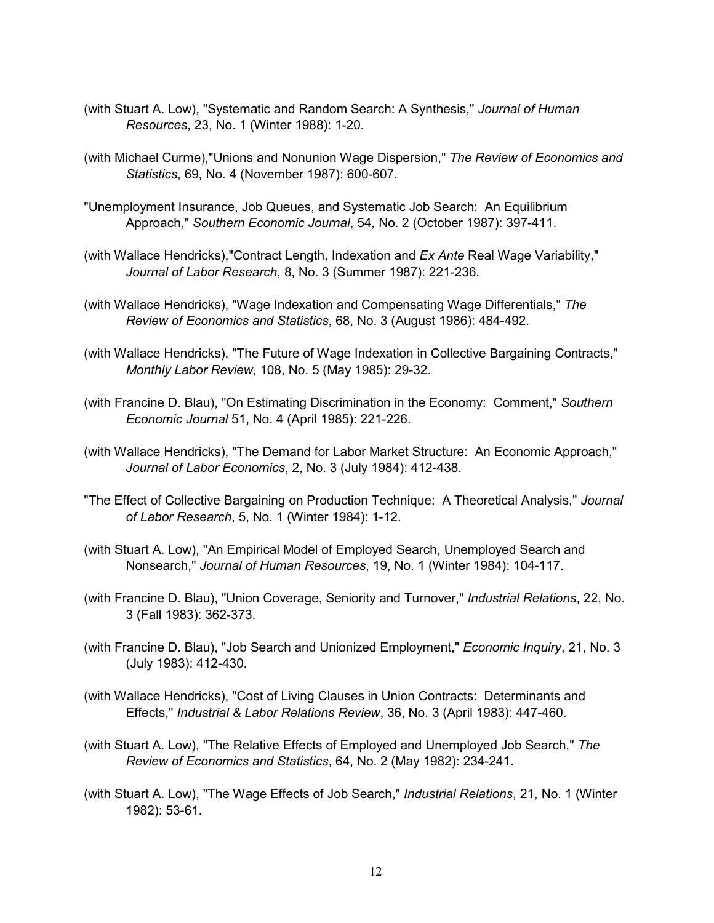- (with Stuart A. Low), "Systematic and Random Search: A Synthesis," *Journal of Human Resources*, 23, No. 1 (Winter 1988): 1-20.
- (with Michael Curme),"Unions and Nonunion Wage Dispersion," *The Review of Economics and Statistics*, 69, No. 4 (November 1987): 600-607.
- "Unemployment Insurance, Job Queues, and Systematic Job Search: An Equilibrium Approach," *Southern Economic Journal*, 54, No. 2 (October 1987): 397-411.
- (with Wallace Hendricks),"Contract Length, Indexation and *Ex Ante* Real Wage Variability," *Journal of Labor Research*, 8, No. 3 (Summer 1987): 221-236.
- (with Wallace Hendricks), "Wage Indexation and Compensating Wage Differentials," *The Review of Economics and Statistics*, 68, No. 3 (August 1986): 484-492.
- (with Wallace Hendricks), "The Future of Wage Indexation in Collective Bargaining Contracts," *Monthly Labor Review*, 108, No. 5 (May 1985): 29-32.
- (with Francine D. Blau), "On Estimating Discrimination in the Economy: Comment," *Southern Economic Journal* 51, No. 4 (April 1985): 221-226.
- (with Wallace Hendricks), "The Demand for Labor Market Structure: An Economic Approach," *Journal of Labor Economics*, 2, No. 3 (July 1984): 412-438.
- "The Effect of Collective Bargaining on Production Technique: A Theoretical Analysis," *Journal of Labor Research*, 5, No. 1 (Winter 1984): 1-12.
- (with Stuart A. Low), "An Empirical Model of Employed Search, Unemployed Search and Nonsearch," *Journal of Human Resources*, 19, No. 1 (Winter 1984): 104-117.
- (with Francine D. Blau), "Union Coverage, Seniority and Turnover," *Industrial Relations*, 22, No. 3 (Fall 1983): 362-373.
- (with Francine D. Blau), "Job Search and Unionized Employment," *Economic Inquiry*, 21, No. 3 (July 1983): 412-430.
- (with Wallace Hendricks), "Cost of Living Clauses in Union Contracts: Determinants and Effects," *Industrial & Labor Relations Review*, 36, No. 3 (April 1983): 447-460.
- (with Stuart A. Low), "The Relative Effects of Employed and Unemployed Job Search," *The Review of Economics and Statistics*, 64, No. 2 (May 1982): 234-241.
- (with Stuart A. Low), "The Wage Effects of Job Search," *Industrial Relations*, 21, No. 1 (Winter 1982): 53-61.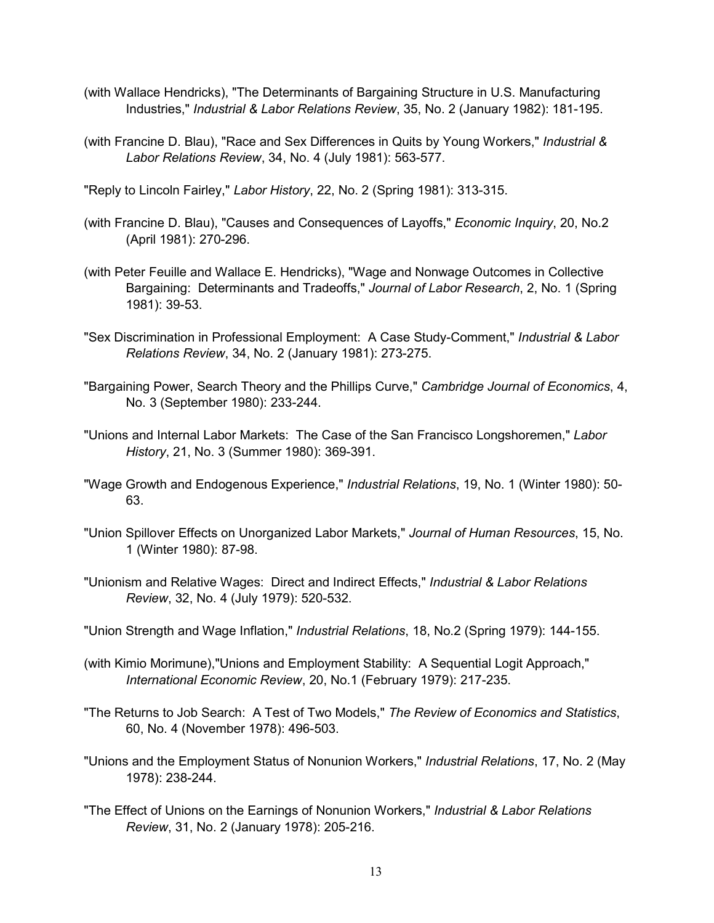- (with Wallace Hendricks), "The Determinants of Bargaining Structure in U.S. Manufacturing Industries," *Industrial & Labor Relations Review*, 35, No. 2 (January 1982): 181-195.
- (with Francine D. Blau), "Race and Sex Differences in Quits by Young Workers," *Industrial & Labor Relations Review*, 34, No. 4 (July 1981): 563-577.

"Reply to Lincoln Fairley," *Labor History*, 22, No. 2 (Spring 1981): 313-315.

- (with Francine D. Blau), "Causes and Consequences of Layoffs," *Economic Inquiry*, 20, No.2 (April 1981): 270-296.
- (with Peter Feuille and Wallace E. Hendricks), "Wage and Nonwage Outcomes in Collective Bargaining: Determinants and Tradeoffs," *Journal of Labor Research*, 2, No. 1 (Spring 1981): 39-53.
- "Sex Discrimination in Professional Employment: A Case Study-Comment," *Industrial & Labor Relations Review*, 34, No. 2 (January 1981): 273-275.
- "Bargaining Power, Search Theory and the Phillips Curve," *Cambridge Journal of Economics*, 4, No. 3 (September 1980): 233-244.
- "Unions and Internal Labor Markets: The Case of the San Francisco Longshoremen," *Labor History*, 21, No. 3 (Summer 1980): 369-391.
- "Wage Growth and Endogenous Experience," *Industrial Relations*, 19, No. 1 (Winter 1980): 50- 63.
- "Union Spillover Effects on Unorganized Labor Markets," *Journal of Human Resources*, 15, No. 1 (Winter 1980): 87-98.
- "Unionism and Relative Wages: Direct and Indirect Effects," *Industrial & Labor Relations Review*, 32, No. 4 (July 1979): 520-532.
- "Union Strength and Wage Inflation," *Industrial Relations*, 18, No.2 (Spring 1979): 144-155.
- (with Kimio Morimune),"Unions and Employment Stability: A Sequential Logit Approach," *International Economic Review*, 20, No.1 (February 1979): 217-235.
- "The Returns to Job Search: A Test of Two Models," *The Review of Economics and Statistics*, 60, No. 4 (November 1978): 496-503.
- "Unions and the Employment Status of Nonunion Workers," *Industrial Relations*, 17, No. 2 (May 1978): 238-244.
- "The Effect of Unions on the Earnings of Nonunion Workers," *Industrial & Labor Relations Review*, 31, No. 2 (January 1978): 205-216.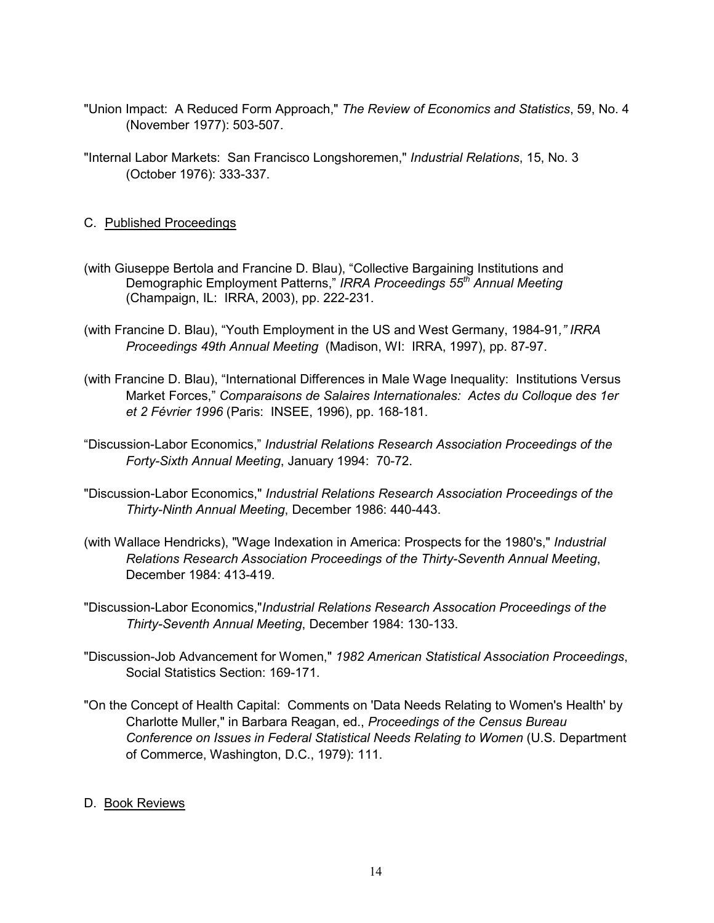- "Union Impact: A Reduced Form Approach," *The Review of Economics and Statistics*, 59, No. 4 (November 1977): 503-507.
- "Internal Labor Markets: San Francisco Longshoremen," *Industrial Relations*, 15, No. 3 (October 1976): 333-337.
- C. Published Proceedings
- (with Giuseppe Bertola and Francine D. Blau), "Collective Bargaining Institutions and Demographic Employment Patterns," *IRRA Proceedings 55th Annual Meeting* (Champaign, IL: IRRA, 2003), pp. 222-231.
- (with Francine D. Blau), "Youth Employment in the US and West Germany, 1984-91*," IRRA Proceedings 49th Annual Meeting* (Madison, WI: IRRA, 1997), pp. 87-97.
- (with Francine D. Blau), "International Differences in Male Wage Inequality: Institutions Versus Market Forces," *Comparaisons de Salaires Internationales: Actes du Colloque des 1er et 2 Février 1996* (Paris: INSEE, 1996), pp. 168-181.
- "Discussion-Labor Economics," *Industrial Relations Research Association Proceedings of the Forty-Sixth Annual Meeting*, January 1994: 70-72.
- "Discussion-Labor Economics," *Industrial Relations Research Association Proceedings of the Thirty-Ninth Annual Meeting*, December 1986: 440-443.
- (with Wallace Hendricks), "Wage Indexation in America: Prospects for the 1980's," *Industrial Relations Research Association Proceedings of the Thirty-Seventh Annual Meeting*, December 1984: 413-419.
- "Discussion-Labor Economics,"*Industrial Relations Research Assocation Proceedings of the Thirty-Seventh Annual Meeting*, December 1984: 130-133.
- "Discussion-Job Advancement for Women," *1982 American Statistical Association Proceedings*, Social Statistics Section: 169-171.
- "On the Concept of Health Capital: Comments on 'Data Needs Relating to Women's Health' by Charlotte Muller," in Barbara Reagan, ed., *Proceedings of the Census Bureau Conference on Issues in Federal Statistical Needs Relating to Women* (U.S. Department of Commerce, Washington, D.C., 1979): 111.
- D. Book Reviews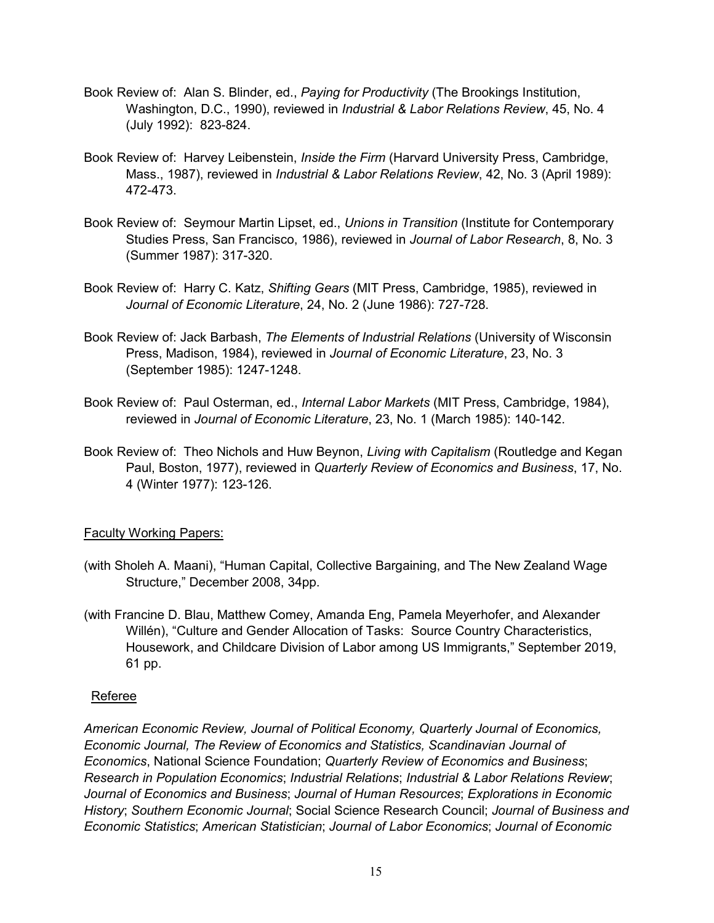- Book Review of: Alan S. Blinder, ed., *Paying for Productivity* (The Brookings Institution, Washington, D.C., 1990), reviewed in *Industrial & Labor Relations Review*, 45, No. 4 (July 1992): 823-824.
- Book Review of: Harvey Leibenstein, *Inside the Firm* (Harvard University Press, Cambridge, Mass., 1987), reviewed in *Industrial & Labor Relations Review*, 42, No. 3 (April 1989): 472-473.
- Book Review of: Seymour Martin Lipset, ed., *Unions in Transition* (Institute for Contemporary Studies Press, San Francisco, 1986), reviewed in *Journal of Labor Research*, 8, No. 3 (Summer 1987): 317-320.
- Book Review of: Harry C. Katz, *Shifting Gears* (MIT Press, Cambridge, 1985), reviewed in *Journal of Economic Literature*, 24, No. 2 (June 1986): 727-728.
- Book Review of: Jack Barbash, *The Elements of Industrial Relations* (University of Wisconsin Press, Madison, 1984), reviewed in *Journal of Economic Literature*, 23, No. 3 (September 1985): 1247-1248.
- Book Review of: Paul Osterman, ed., *Internal Labor Markets* (MIT Press, Cambridge, 1984), reviewed in *Journal of Economic Literature*, 23, No. 1 (March 1985): 140-142.
- Book Review of: Theo Nichols and Huw Beynon, *Living with Capitalism* (Routledge and Kegan Paul, Boston, 1977), reviewed in *Quarterly Review of Economics and Business*, 17, No. 4 (Winter 1977): 123-126.

## Faculty Working Papers:

- (with Sholeh A. Maani), "Human Capital, Collective Bargaining, and The New Zealand Wage Structure," December 2008, 34pp.
- (with Francine D. Blau, Matthew Comey, Amanda Eng, Pamela Meyerhofer, and Alexander Willén), "Culture and Gender Allocation of Tasks: Source Country Characteristics, Housework, and Childcare Division of Labor among US Immigrants," September 2019, 61 pp.

## Referee

*American Economic Review, Journal of Political Economy, Quarterly Journal of Economics, Economic Journal, The Review of Economics and Statistics, Scandinavian Journal of Economics*, National Science Foundation; *Quarterly Review of Economics and Business*; *Research in Population Economics*; *Industrial Relations*; *Industrial & Labor Relations Review*; *Journal of Economics and Business*; *Journal of Human Resources*; *Explorations in Economic History*; *Southern Economic Journal*; Social Science Research Council; *Journal of Business and Economic Statistics*; *American Statistician*; *Journal of Labor Economics*; *Journal of Economic*